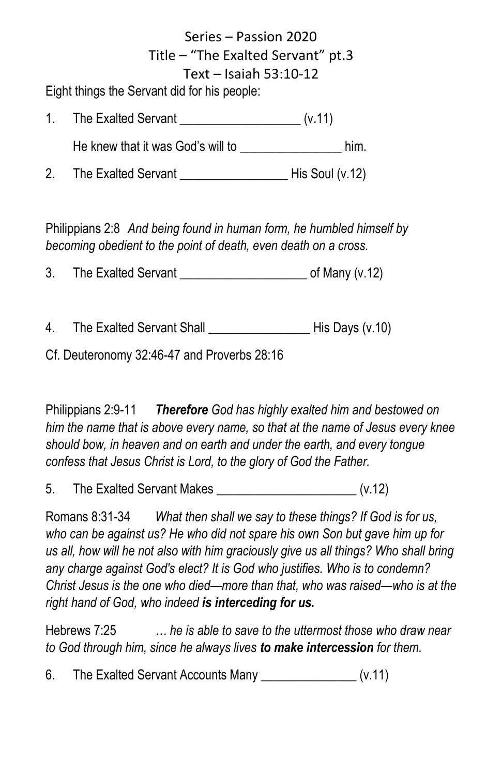Series – Passion 2020 Title – "The Exalted Servant" pt.3 Text – Isaiah 53:10-12

Eight things the Servant did for his people:

1. The Exalted Servant (v.11)

He knew that it was God's will to \_\_\_\_\_\_\_\_\_\_\_\_\_\_\_\_\_\_\_ him.

2. The Exalted Servant \_\_\_\_\_\_\_\_\_\_\_\_\_\_\_\_\_ His Soul (v.12)

Philippians 2:8 *And being found in human form, he humbled himself by becoming obedient to the point of death, even death on a cross.*

3. The Exalted Servant exacts of Many (v.12)

4. The Exalted Servant Shall **Fig. 1** His Days (v.10)

Cf. Deuteronomy 32:46-47 and Proverbs 28:16

Philippians 2:9-11 *Therefore God has highly exalted him and bestowed on him the name that is above every name, so that at the name of Jesus every knee should bow, in heaven and on earth and under the earth, and every tongue confess that Jesus Christ is Lord, to the glory of God the Father.*

5. The Exalted Servant Makes  $(v.12)$ 

Romans 8:31-34 *What then shall we say to these things? If God is for us, who can be against us? He who did not spare his own Son but gave him up for us all, how will he not also with him graciously give us all things? Who shall bring any charge against God's elect? It is God who justifies. Who is to condemn? Christ Jesus is the one who died—more than that, who was raised—who is at the right hand of God, who indeed is interceding for us.*

Hebrews 7:25 *… he is able to save to the uttermost those who draw near to God through him, since he always lives to make intercession for them.*

6. The Exalted Servant Accounts Many [v.11]